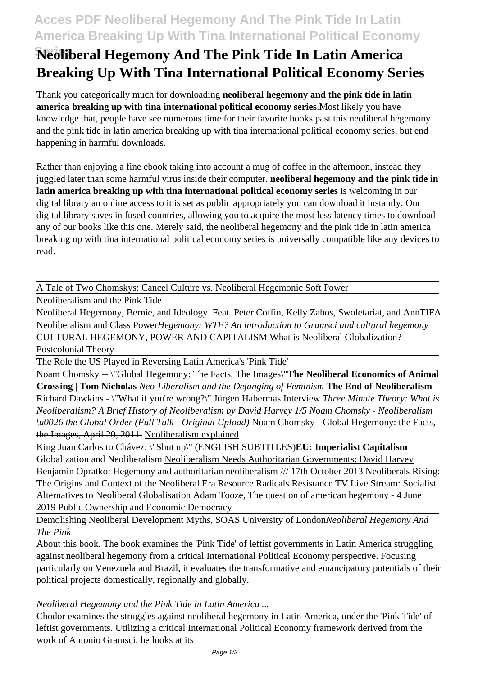# **Acces PDF Neoliberal Hegemony And The Pink Tide In Latin America Breaking Up With Tina International Political Economy**

# **Neoliberal Hegemony And The Pink Tide In Latin America Breaking Up With Tina International Political Economy Series**

Thank you categorically much for downloading **neoliberal hegemony and the pink tide in latin america breaking up with tina international political economy series**.Most likely you have knowledge that, people have see numerous time for their favorite books past this neoliberal hegemony and the pink tide in latin america breaking up with tina international political economy series, but end happening in harmful downloads.

Rather than enjoying a fine ebook taking into account a mug of coffee in the afternoon, instead they juggled later than some harmful virus inside their computer. **neoliberal hegemony and the pink tide in latin america breaking up with tina international political economy series** is welcoming in our digital library an online access to it is set as public appropriately you can download it instantly. Our digital library saves in fused countries, allowing you to acquire the most less latency times to download any of our books like this one. Merely said, the neoliberal hegemony and the pink tide in latin america breaking up with tina international political economy series is universally compatible like any devices to read.

A Tale of Two Chomskys: Cancel Culture vs. Neoliberal Hegemonic Soft Power

Neoliberalism and the Pink Tide

Neoliberal Hegemony, Bernie, and Ideology. Feat. Peter Coffin, Kelly Zahos, Swoletariat, and AnnTIFA Neoliberalism and Class Power*Hegemony: WTF? An introduction to Gramsci and cultural hegemony* CULTURAL HEGEMONY, POWER AND CAPITALISM What is Neoliberal Globalization? | Postcolonial Theory

The Role the US Played in Reversing Latin America's 'Pink Tide'

Noam Chomsky -- \"Global Hegemony: The Facts, The Images\"**The Neoliberal Economics of Animal Crossing | Tom Nicholas** *Neo-Liberalism and the Defanging of Feminism* **The End of Neoliberalism** Richard Dawkins - \"What if you're wrong?\" Jürgen Habermas Interview *Three Minute Theory: What is Neoliberalism? A Brief History of Neoliberalism by David Harvey 1/5 Noam Chomsky - Neoliberalism \u0026 the Global Order (Full Talk - Original Upload)* Noam Chomsky - Global Hegemony: the Facts, the Images, April 20, 2011. Neoliberalism explained

King Juan Carlos to Chávez: \"Shut up\" (ENGLISH SUBTITLES)**EU: Imperialist Capitalism** Globalization and Neoliberalism Neoliberalism Needs Authoritarian Governments: David Harvey Benjamin Opratko: Hegemony and authoritarian neoliberalism /// 17th October 2013 Neoliberals Rising: The Origins and Context of the Neoliberal Era Resource Radicals Resistance TV Live Stream: Socialist Alternatives to Neoliberal Globalisation Adam Tooze, The question of american hegemony - 4 June 2019 Public Ownership and Economic Democracy

Demolishing Neoliberal Development Myths, SOAS University of London*Neoliberal Hegemony And The Pink*

About this book. The book examines the 'Pink Tide' of leftist governments in Latin America struggling against neoliberal hegemony from a critical International Political Economy perspective. Focusing particularly on Venezuela and Brazil, it evaluates the transformative and emancipatory potentials of their political projects domestically, regionally and globally.

# *Neoliberal Hegemony and the Pink Tide in Latin America ...*

Chodor examines the struggles against neoliberal hegemony in Latin America, under the 'Pink Tide' of leftist governments. Utilizing a critical International Political Economy framework derived from the work of Antonio Gramsci, he looks at its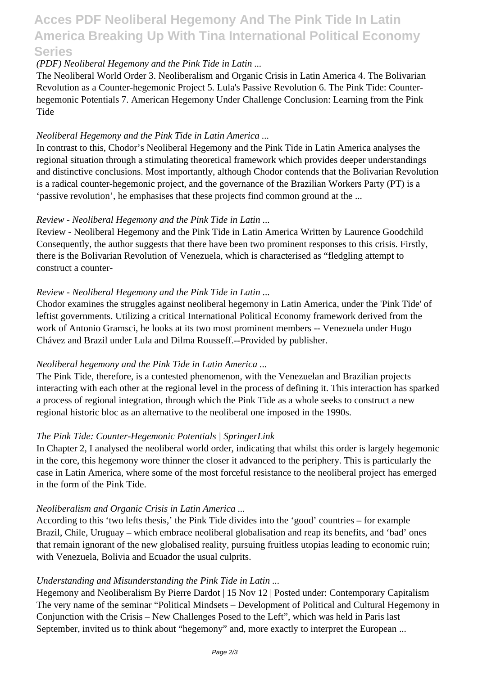# **Acces PDF Neoliberal Hegemony And The Pink Tide In Latin America Breaking Up With Tina International Political Economy Series**

### *(PDF) Neoliberal Hegemony and the Pink Tide in Latin ...*

The Neoliberal World Order 3. Neoliberalism and Organic Crisis in Latin America 4. The Bolivarian Revolution as a Counter-hegemonic Project 5. Lula's Passive Revolution 6. The Pink Tide: Counterhegemonic Potentials 7. American Hegemony Under Challenge Conclusion: Learning from the Pink **Tide** 

#### *Neoliberal Hegemony and the Pink Tide in Latin America ...*

In contrast to this, Chodor's Neoliberal Hegemony and the Pink Tide in Latin America analyses the regional situation through a stimulating theoretical framework which provides deeper understandings and distinctive conclusions. Most importantly, although Chodor contends that the Bolivarian Revolution is a radical counter-hegemonic project, and the governance of the Brazilian Workers Party (PT) is a 'passive revolution', he emphasises that these projects find common ground at the ...

### *Review - Neoliberal Hegemony and the Pink Tide in Latin ...*

Review - Neoliberal Hegemony and the Pink Tide in Latin America Written by Laurence Goodchild Consequently, the author suggests that there have been two prominent responses to this crisis. Firstly, there is the Bolivarian Revolution of Venezuela, which is characterised as "fledgling attempt to construct a counter-

### *Review - Neoliberal Hegemony and the Pink Tide in Latin ...*

Chodor examines the struggles against neoliberal hegemony in Latin America, under the 'Pink Tide' of leftist governments. Utilizing a critical International Political Economy framework derived from the work of Antonio Gramsci, he looks at its two most prominent members -- Venezuela under Hugo Chávez and Brazil under Lula and Dilma Rousseff.--Provided by publisher.

#### *Neoliberal hegemony and the Pink Tide in Latin America ...*

The Pink Tide, therefore, is a contested phenomenon, with the Venezuelan and Brazilian projects interacting with each other at the regional level in the process of defining it. This interaction has sparked a process of regional integration, through which the Pink Tide as a whole seeks to construct a new regional historic bloc as an alternative to the neoliberal one imposed in the 1990s.

# *The Pink Tide: Counter-Hegemonic Potentials | SpringerLink*

In Chapter 2, I analysed the neoliberal world order, indicating that whilst this order is largely hegemonic in the core, this hegemony wore thinner the closer it advanced to the periphery. This is particularly the case in Latin America, where some of the most forceful resistance to the neoliberal project has emerged in the form of the Pink Tide.

#### *Neoliberalism and Organic Crisis in Latin America ...*

According to this 'two lefts thesis,' the Pink Tide divides into the 'good' countries – for example Brazil, Chile, Uruguay – which embrace neoliberal globalisation and reap its benefits, and 'bad' ones that remain ignorant of the new globalised reality, pursuing fruitless utopias leading to economic ruin; with Venezuela, Bolivia and Ecuador the usual culprits.

#### *Understanding and Misunderstanding the Pink Tide in Latin ...*

Hegemony and Neoliberalism By Pierre Dardot | 15 Nov 12 | Posted under: Contemporary Capitalism The very name of the seminar "Political Mindsets – Development of Political and Cultural Hegemony in Conjunction with the Crisis – New Challenges Posed to the Left", which was held in Paris last September, invited us to think about "hegemony" and, more exactly to interpret the European ...